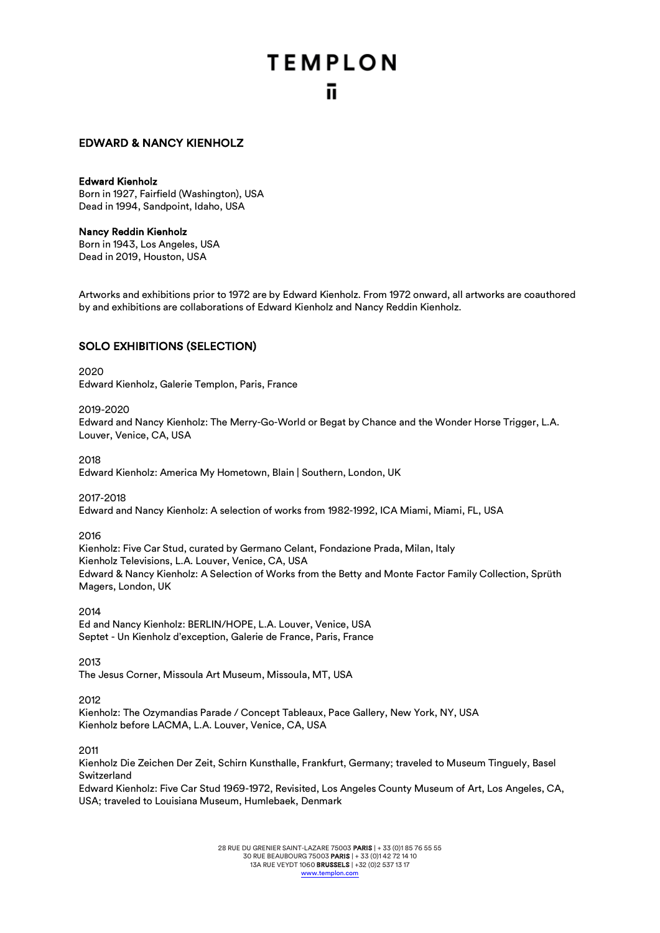## EDWARD & NANCY KIENHOLZ

#### Edward Kienholz

Born in 1927, Fairfield (Washington), USA Dead in 1994, Sandpoint, Idaho, USA

## Nancy Reddin Kienholz

Born in 1943, Los Angeles, USA Dead in 2019, Houston, USA

Artworks and exhibitions prior to 1972 are by Edward Kienholz. From 1972 onward, all artworks are coauthored by and exhibitions are collaborations of Edward Kienholz and Nancy Reddin Kienholz.

## SOLO EXHIBITIONS (SELECTION)

#### 2020

Edward Kienholz, Galerie Templon, Paris, France

#### 2019-2020

Edward and Nancy Kienholz: The Merry-Go-World or Begat by Chance and the Wonder Horse Trigger, L.A. Louver, Venice, CA, USA

2018

Edward Kienholz: America My Hometown, Blain | Southern, London, UK

2017-2018 Edward and Nancy Kienholz: A selection of works from 1982-1992, ICA Miami, Miami, FL, USA

#### 2016

Kienholz: Five Car Stud, curated by Germano Celant, Fondazione Prada, Milan, Italy Kienholz Televisions, L.A. Louver, Venice, CA, USA Edward & Nancy Kienholz: A Selection of Works from the Betty and Monte Factor Family Collection, Sprüth Magers, London, UK

2014

Ed and Nancy Kienholz: BERLIN/HOPE, L.A. Louver, Venice, USA Septet - Un Kienholz d'exception, Galerie de France, Paris, France

2013

The Jesus Corner, Missoula Art Museum, Missoula, MT, USA

2012

Kienholz: The Ozymandias Parade / Concept Tableaux, Pace Gallery, New York, NY, USA Kienholz before LACMA, L.A. Louver, Venice, CA, USA

2011

Kienholz Die Zeichen Der Zeit, Schirn Kunsthalle, Frankfurt, Germany; traveled to Museum Tinguely, Basel Switzerland

Edward Kienholz: Five Car Stud 1969-1972, Revisited, Los Angeles County Museum of Art, Los Angeles, CA, USA; traveled to Louisiana Museum, Humlebaek, Denmark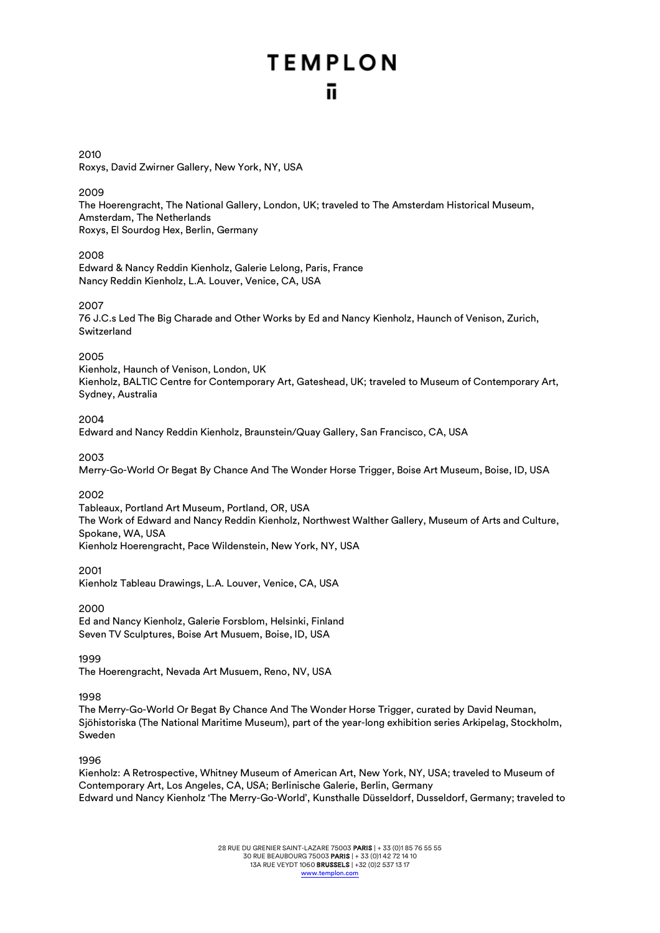## 2010 Roxys, David Zwirner Gallery, New York, NY, USA

## 2009

The Hoerengracht, The National Gallery, London, UK; traveled to The Amsterdam Historical Museum, Amsterdam, The Netherlands Roxys, El Sourdog Hex, Berlin, Germany

## 2008

Edward & Nancy Reddin Kienholz, Galerie Lelong, Paris, France Nancy Reddin Kienholz, L.A. Louver, Venice, CA, USA

## 2007

76 J.C.s Led The Big Charade and Other Works by Ed and Nancy Kienholz, Haunch of Venison, Zurich, Switzerland

## 2005

Kienholz, Haunch of Venison, London, UK Kienholz, BALTIC Centre for Contemporary Art, Gateshead, UK; traveled to Museum of Contemporary Art, Sydney, Australia

## 2004

Edward and Nancy Reddin Kienholz, Braunstein/Quay Gallery, San Francisco, CA, USA

## 2003

Merry-Go-World Or Begat By Chance And The Wonder Horse Trigger, Boise Art Museum, Boise, ID, USA

## 2002

Tableaux, Portland Art Museum, Portland, OR, USA The Work of Edward and Nancy Reddin Kienholz, Northwest Walther Gallery, Museum of Arts and Culture, Spokane, WA, USA Kienholz Hoerengracht, Pace Wildenstein, New York, NY, USA

2001

Kienholz Tableau Drawings, L.A. Louver, Venice, CA, USA

## 2000

Ed and Nancy Kienholz, Galerie Forsblom, Helsinki, Finland Seven TV Sculptures, Boise Art Musuem, Boise, ID, USA

## 1999

The Hoerengracht, Nevada Art Musuem, Reno, NV, USA

## 1998

The Merry-Go-World Or Begat By Chance And The Wonder Horse Trigger, curated by David Neuman, Sjöhistoriska (The National Maritime Museum), part of the year-long exhibition series Arkipelag, Stockholm, Sweden

## 1996

Kienholz: A Retrospective, Whitney Museum of American Art, New York, NY, USA; traveled to Museum of Contemporary Art, Los Angeles, CA, USA; Berlinische Galerie, Berlin, Germany Edward und Nancy Kienholz 'The Merry-Go-World', Kunsthalle Düsseldorf, Dusseldorf, Germany; traveled to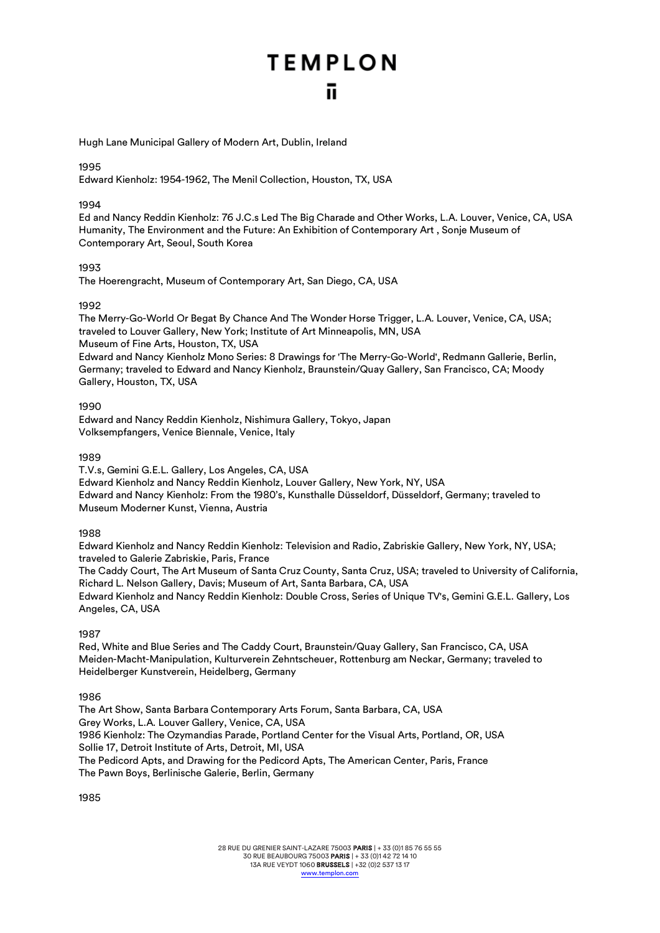Hugh Lane Municipal Gallery of Modern Art, Dublin, Ireland

## 1995

Edward Kienholz: 1954-1962, The Menil Collection, Houston, TX, USA

#### 1994

Ed and Nancy Reddin Kienholz: 76 J.C.s Led The Big Charade and Other Works, L.A. Louver, Venice, CA, USA Humanity, The Environment and the Future: An Exhibition of Contemporary Art , Sonje Museum of Contemporary Art, Seoul, South Korea

#### 1993

The Hoerengracht, Museum of Contemporary Art, San Diego, CA, USA

## 1992

The Merry-Go-World Or Begat By Chance And The Wonder Horse Trigger, L.A. Louver, Venice, CA, USA; traveled to Louver Gallery, New York; Institute of Art Minneapolis, MN, USA Museum of Fine Arts, Houston, TX, USA Edward and Nancy Kienholz Mono Series: 8 Drawings for 'The Merry-Go-World', Redmann Gallerie, Berlin, Germany; traveled to Edward and Nancy Kienholz, Braunstein/Quay Gallery, San Francisco, CA; Moody Gallery, Houston, TX, USA

1990

Edward and Nancy Reddin Kienholz, Nishimura Gallery, Tokyo, Japan Volksempfangers, Venice Biennale, Venice, Italy

1989

T.V.s, Gemini G.E.L. Gallery, Los Angeles, CA, USA Edward Kienholz and Nancy Reddin Kienholz, Louver Gallery, New York, NY, USA Edward and Nancy Kienholz: From the 1980's, Kunsthalle Düsseldorf, Düsseldorf, Germany; traveled to Museum Moderner Kunst, Vienna, Austria

## 1988

Edward Kienholz and Nancy Reddin Kienholz: Television and Radio, Zabriskie Gallery, New York, NY, USA; traveled to Galerie Zabriskie, Paris, France

The Caddy Court, The Art Museum of Santa Cruz County, Santa Cruz, USA; traveled to University of California, Richard L. Nelson Gallery, Davis; Museum of Art, Santa Barbara, CA, USA Edward Kienholz and Nancy Reddin Kienholz: Double Cross, Series of Unique TV's, Gemini G.E.L. Gallery, Los Angeles, CA, USA

1987

Red, White and Blue Series and The Caddy Court, Braunstein/Quay Gallery, San Francisco, CA, USA Meiden-Macht-Manipulation, Kulturverein Zehntscheuer, Rottenburg am Neckar, Germany; traveled to Heidelberger Kunstverein, Heidelberg, Germany

#### 1986

The Art Show, Santa Barbara Contemporary Arts Forum, Santa Barbara, CA, USA Grey Works, L.A. Louver Gallery, Venice, CA, USA 1986 Kienholz: The Ozymandias Parade, Portland Center for the Visual Arts, Portland, OR, USA Sollie 17, Detroit Institute of Arts, Detroit, MI, USA The Pedicord Apts, and Drawing for the Pedicord Apts, The American Center, Paris, France The Pawn Boys, Berlinische Galerie, Berlin, Germany

1985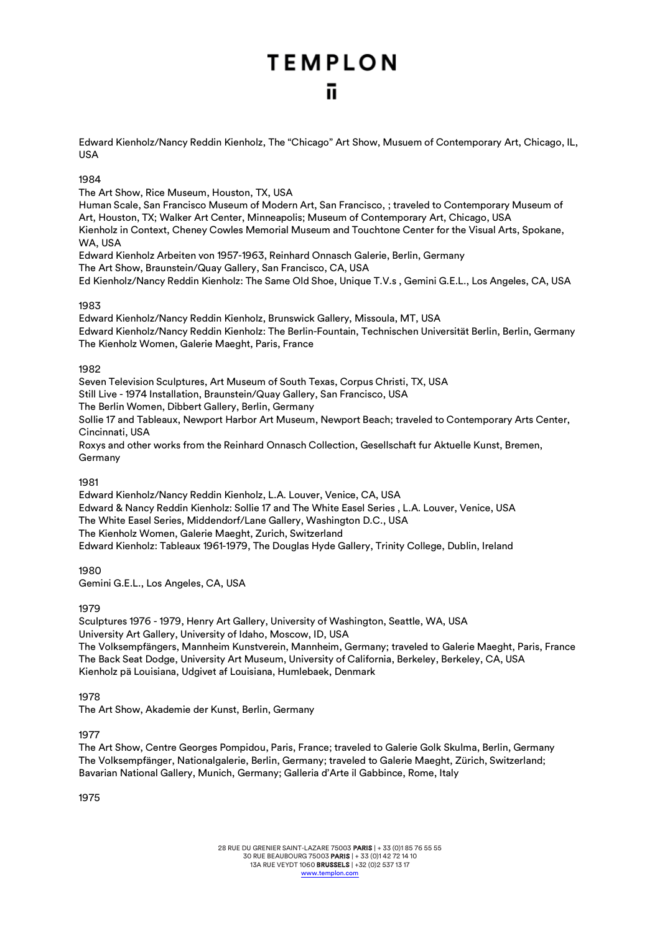Edward Kienholz/Nancy Reddin Kienholz, The "Chicago" Art Show, Musuem of Contemporary Art, Chicago, IL, USA

## 1984

The Art Show, Rice Museum, Houston, TX, USA

Human Scale, San Francisco Museum of Modern Art, San Francisco, ; traveled to Contemporary Museum of Art, Houston, TX; Walker Art Center, Minneapolis; Museum of Contemporary Art, Chicago, USA Kienholz in Context, Cheney Cowles Memorial Museum and Touchtone Center for the Visual Arts, Spokane, WA, USA

Edward Kienholz Arbeiten von 1957-1963, Reinhard Onnasch Galerie, Berlin, Germany The Art Show, Braunstein/Quay Gallery, San Francisco, CA, USA Ed Kienholz/Nancy Reddin Kienholz: The Same Old Shoe, Unique T.V.s , Gemini G.E.L., Los Angeles, CA, USA

## 1983

Edward Kienholz/Nancy Reddin Kienholz, Brunswick Gallery, Missoula, MT, USA Edward Kienholz/Nancy Reddin Kienholz: The Berlin-Fountain, Technischen Universität Berlin, Berlin, Germany The Kienholz Women, Galerie Maeght, Paris, France

## 1982

Seven Television Sculptures, Art Museum of South Texas, Corpus Christi, TX, USA Still Live - 1974 Installation, Braunstein/Quay Gallery, San Francisco, USA The Berlin Women, Dibbert Gallery, Berlin, Germany Sollie 17 and Tableaux, Newport Harbor Art Museum, Newport Beach; traveled to Contemporary Arts Center, Cincinnati, USA

Roxys and other works from the Reinhard Onnasch Collection, Gesellschaft fur Aktuelle Kunst, Bremen, Germany

## 1081

Edward Kienholz/Nancy Reddin Kienholz, L.A. Louver, Venice, CA, USA Edward & Nancy Reddin Kienholz: Sollie 17 and The White Easel Series , L.A. Louver, Venice, USA The White Easel Series, Middendorf/Lane Gallery, Washington D.C., USA The Kienholz Women, Galerie Maeght, Zurich, Switzerland Edward Kienholz: Tableaux 1961-1979, The Douglas Hyde Gallery, Trinity College, Dublin, Ireland

1980 Gemini G.E.L., Los Angeles, CA, USA

1979

Sculptures 1976 - 1979, Henry Art Gallery, University of Washington, Seattle, WA, USA University Art Gallery, University of Idaho, Moscow, ID, USA The Volksempfängers, Mannheim Kunstverein, Mannheim, Germany; traveled to Galerie Maeght, Paris, France The Back Seat Dodge, University Art Museum, University of California, Berkeley, Berkeley, CA, USA Kienholz pä Louisiana, Udgivet af Louisiana, Humlebaek, Denmark

1978

The Art Show, Akademie der Kunst, Berlin, Germany

## 1977

The Art Show, Centre Georges Pompidou, Paris, France; traveled to Galerie Golk Skulma, Berlin, Germany The Volksempfänger, Nationalgalerie, Berlin, Germany; traveled to Galerie Maeght, Zürich, Switzerland; Bavarian National Gallery, Munich, Germany; Galleria d'Arte il Gabbince, Rome, Italy

1975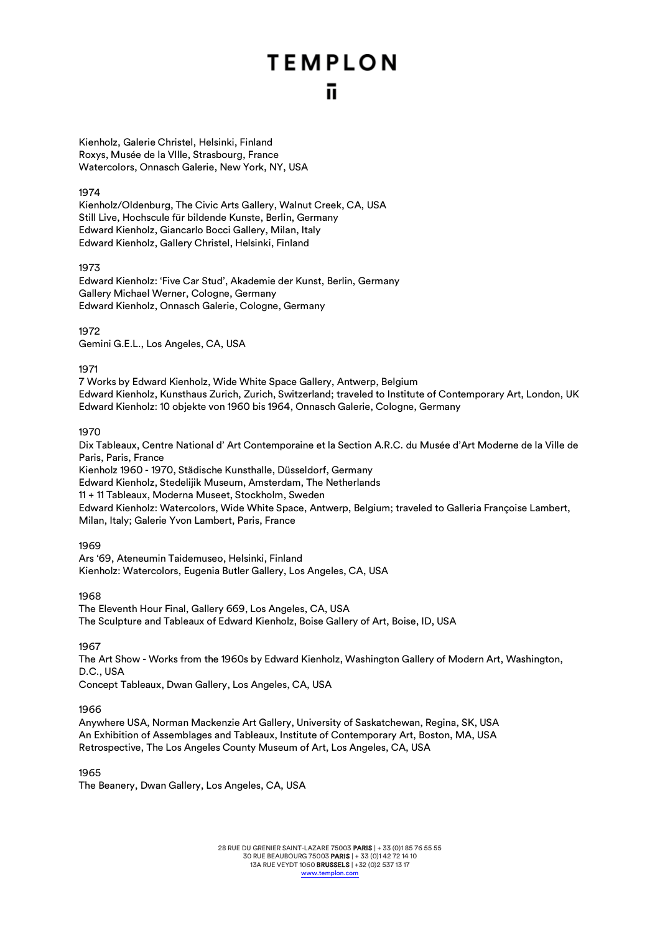Kienholz, Galerie Christel, Helsinki, Finland Roxys, Musée de la VIlle, Strasbourg, France Watercolors, Onnasch Galerie, New York, NY, USA

#### 1974

Kienholz/Oldenburg, The Civic Arts Gallery, Walnut Creek, CA, USA Still Live, Hochscule für bildende Kunste, Berlin, Germany Edward Kienholz, Giancarlo Bocci Gallery, Milan, Italy Edward Kienholz, Gallery Christel, Helsinki, Finland

1973

Edward Kienholz: 'Five Car Stud', Akademie der Kunst, Berlin, Germany Gallery Michael Werner, Cologne, Germany Edward Kienholz, Onnasch Galerie, Cologne, Germany

1972

Gemini G.E.L., Los Angeles, CA, USA

1971

7 Works by Edward Kienholz, Wide White Space Gallery, Antwerp, Belgium Edward Kienholz, Kunsthaus Zurich, Zurich, Switzerland; traveled to Institute of Contemporary Art, London, UK Edward Kienholz: 10 objekte von 1960 bis 1964, Onnasch Galerie, Cologne, Germany

#### 1970

Dix Tableaux, Centre National d' Art Contemporaine et la Section A.R.C. du Musée d'Art Moderne de la Ville de Paris, Paris, France Kienholz 1960 - 1970, Städische Kunsthalle, Düsseldorf, Germany Edward Kienholz, Stedelijik Museum, Amsterdam, The Netherlands 11 + 11 Tableaux, Moderna Museet, Stockholm, Sweden Edward Kienholz: Watercolors, Wide White Space, Antwerp, Belgium; traveled to Galleria Françoise Lambert, Milan, Italy; Galerie Yvon Lambert, Paris, France

## 1969

Ars '69, Ateneumin Taidemuseo, Helsinki, Finland Kienholz: Watercolors, Eugenia Butler Gallery, Los Angeles, CA, USA

1968

The Eleventh Hour Final, Gallery 669, Los Angeles, CA, USA The Sculpture and Tableaux of Edward Kienholz, Boise Gallery of Art, Boise, ID, USA

1967

The Art Show - Works from the 1960s by Edward Kienholz, Washington Gallery of Modern Art, Washington, D.C., USA Concept Tableaux, Dwan Gallery, Los Angeles, CA, USA

1966

Anywhere USA, Norman Mackenzie Art Gallery, University of Saskatchewan, Regina, SK, USA An Exhibition of Assemblages and Tableaux, Institute of Contemporary Art, Boston, MA, USA Retrospective, The Los Angeles County Museum of Art, Los Angeles, CA, USA

1965

The Beanery, Dwan Gallery, Los Angeles, CA, USA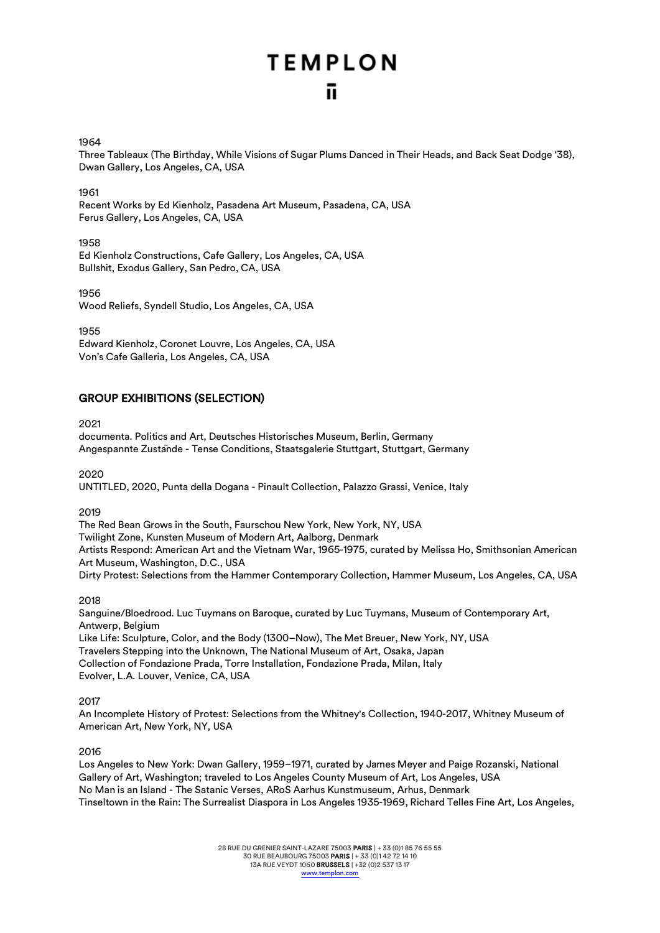## 1964

Three Tableaux (The Birthday, While Visions of Sugar Plums Danced in Their Heads, and Back Seat Dodge '38), Dwan Gallery, Los Angeles, CA, USA

1961

Recent Works by Ed Kienholz, Pasadena Art Museum, Pasadena, CA, USA Ferus Gallery, Los Angeles, CA, USA

1958

Ed Kienholz Constructions, Cafe Gallery, Los Angeles, CA, USA Bullshit, Exodus Gallery, San Pedro, CA, USA

1956

Wood Reliefs, Syndell Studio, Los Angeles, CA, USA

1955

Edward Kienholz, Coronet Louvre, Los Angeles, CA, USA Von's Cafe Galleria, Los Angeles, CA, USA

## GROUP EXHIBITIONS (SELECTION)

2021

documenta. Politics and Art, Deutsches Historisches Museum, Berlin, Germany Angespannte Zustände - Tense Conditions, Staatsgalerie Stuttgart, Stuttgart, Germany

2020

UNTITLED, 2020, Punta della Dogana - Pinault Collection, Palazzo Grassi, Venice, Italy

2019

The Red Bean Grows in the South, Faurschou New York, New York, NY, USA Twilight Zone, Kunsten Museum of Modern Art, Aalborg, Denmark Artists Respond: American Art and the Vietnam War, 1965-1975, curated by Melissa Ho, Smithsonian American Art Museum, Washington, D.C., USA Dirty Protest: Selections from the Hammer Contemporary Collection, Hammer Museum, Los Angeles, CA, USA

2018

Sanguine/Bloedrood. Luc Tuymans on Baroque, curated by Luc Tuymans, Museum of Contemporary Art, Antwerp, Belgium Like Life: Sculpture, Color, and the Body (1300–Now), The Met Breuer, New York, NY, USA Travelers Stepping into the Unknown, The National Museum of Art, Osaka, Japan Collection of Fondazione Prada, Torre Installation, Fondazione Prada, Milan, Italy

Evolver, L.A. Louver, Venice, CA, USA

2017

An Incomplete History of Protest: Selections from the Whitney's Collection, 1940-2017, Whitney Museum of American Art, New York, NY, USA

2016

Los Angeles to New York: Dwan Gallery, 1959–1971, curated by James Meyer and Paige Rozanski, National Gallery of Art, Washington; traveled to Los Angeles County Museum of Art, Los Angeles, USA No Man is an Island - The Satanic Verses, ARoS Aarhus Kunstmuseum, Arhus, Denmark Tinseltown in the Rain: The Surrealist Diaspora in Los Angeles 1935-1969, Richard Telles Fine Art, Los Angeles,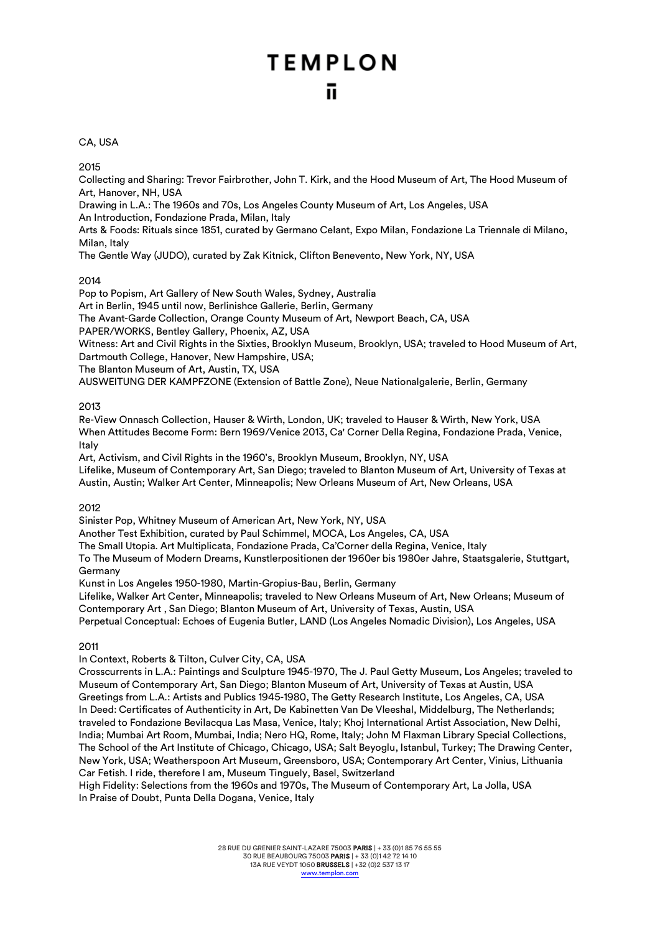## CA, USA

2015

Collecting and Sharing: Trevor Fairbrother, John T. Kirk, and the Hood Museum of Art, The Hood Museum of Art, Hanover, NH, USA

Drawing in L.A.: The 1960s and 70s, Los Angeles County Museum of Art, Los Angeles, USA An Introduction, Fondazione Prada, Milan, Italy

Arts & Foods: Rituals since 1851, curated by Germano Celant, Expo Milan, Fondazione La Triennale di Milano, Milan, Italy

The Gentle Way (JUDO), curated by Zak Kitnick, Clifton Benevento, New York, NY, USA

## 2014

Pop to Popism, Art Gallery of New South Wales, Sydney, Australia

Art in Berlin, 1945 until now, Berlinishce Gallerie, Berlin, Germany

The Avant-Garde Collection, Orange County Museum of Art, Newport Beach, CA, USA

PAPER/WORKS, Bentley Gallery, Phoenix, AZ, USA

Witness: Art and Civil Rights in the Sixties, Brooklyn Museum, Brooklyn, USA; traveled to Hood Museum of Art, Dartmouth College, Hanover, New Hampshire, USA;

The Blanton Museum of Art, Austin, TX, USA

AUSWEITUNG DER KAMPFZONE (Extension of Battle Zone), Neue Nationalgalerie, Berlin, Germany

## 2013

Re-View Onnasch Collection, Hauser & Wirth, London, UK; traveled to Hauser & Wirth, New York, USA When Attitudes Become Form: Bern 1969/Venice 2013, Ca' Corner Della Regina, Fondazione Prada, Venice, Italy

Art, Activism, and Civil Rights in the 1960's, Brooklyn Museum, Brooklyn, NY, USA

Lifelike, Museum of Contemporary Art, San Diego; traveled to Blanton Museum of Art, University of Texas at Austin, Austin; Walker Art Center, Minneapolis; New Orleans Museum of Art, New Orleans, USA

## 2012

Sinister Pop, Whitney Museum of American Art, New York, NY, USA

Another Test Exhibition, curated by Paul Schimmel, MOCA, Los Angeles, CA, USA

The Small Utopia. Art Multiplicata, Fondazione Prada, Ca'Corner della Regina, Venice, Italy

To The Museum of Modern Dreams, Kunstlerpositionen der 1960er bis 1980er Jahre, Staatsgalerie, Stuttgart, Germany

Kunst in Los Angeles 1950-1980, Martin-Gropius-Bau, Berlin, Germany

Lifelike, Walker Art Center, Minneapolis; traveled to New Orleans Museum of Art, New Orleans; Museum of Contemporary Art , San Diego; Blanton Museum of Art, University of Texas, Austin, USA Perpetual Conceptual: Echoes of Eugenia Butler, LAND (Los Angeles Nomadic Division), Los Angeles, USA

## 2011

In Context, Roberts & Tilton, Culver City, CA, USA

Crosscurrents in L.A.: Paintings and Sculpture 1945-1970, The J. Paul Getty Museum, Los Angeles; traveled to Museum of Contemporary Art, San Diego; Blanton Museum of Art, University of Texas at Austin, USA Greetings from L.A.: Artists and Publics 1945-1980, The Getty Research Institute, Los Angeles, CA, USA In Deed: Certificates of Authenticity in Art, De Kabinetten Van De Vleeshal, Middelburg, The Netherlands; traveled to Fondazione Bevilacqua Las Masa, Venice, Italy; Khoj International Artist Association, New Delhi, India; Mumbai Art Room, Mumbai, India; Nero HQ, Rome, Italy; John M Flaxman Library Special Collections, The School of the Art Institute of Chicago, Chicago, USA; Salt Beyoglu, Istanbul, Turkey; The Drawing Center, New York, USA; Weatherspoon Art Museum, Greensboro, USA; Contemporary Art Center, Vinius, Lithuania Car Fetish. I ride, therefore I am, Museum Tinguely, Basel, Switzerland

High Fidelity: Selections from the 1960s and 1970s, The Museum of Contemporary Art, La Jolla, USA In Praise of Doubt, Punta Della Dogana, Venice, Italy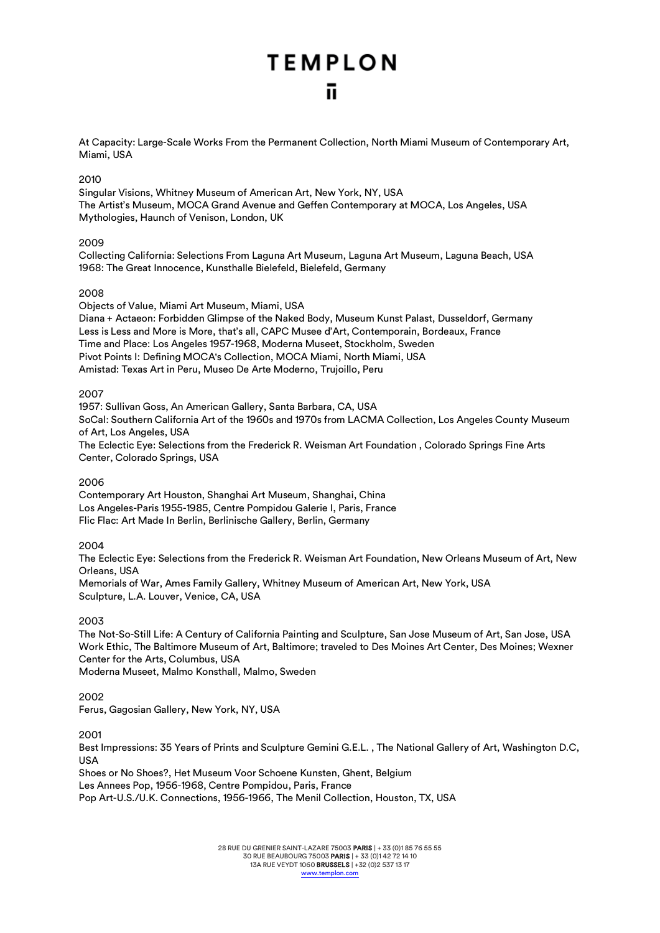At Capacity: Large-Scale Works From the Permanent Collection, North Miami Museum of Contemporary Art, Miami, USA

## 2010

Singular Visions, Whitney Museum of American Art, New York, NY, USA The Artist's Museum, MOCA Grand Avenue and Geffen Contemporary at MOCA, Los Angeles, USA Mythologies, Haunch of Venison, London, UK

## 2009

Collecting California: Selections From Laguna Art Museum, Laguna Art Museum, Laguna Beach, USA 1968: The Great Innocence, Kunsthalle Bielefeld, Bielefeld, Germany

## 2008

Objects of Value, Miami Art Museum, Miami, USA Diana + Actaeon: Forbidden Glimpse of the Naked Body, Museum Kunst Palast, Dusseldorf, Germany Less is Less and More is More, that's all, CAPC Musee d'Art, Contemporain, Bordeaux, France Time and Place: Los Angeles 1957-1968, Moderna Museet, Stockholm, Sweden Pivot Points I: Defining MOCA's Collection, MOCA Miami, North Miami, USA Amistad: Texas Art in Peru, Museo De Arte Moderno, Trujoillo, Peru

## 2007

1957: Sullivan Goss, An American Gallery, Santa Barbara, CA, USA SoCal: Southern California Art of the 1960s and 1970s from LACMA Collection, Los Angeles County Museum of Art, Los Angeles, USA The Eclectic Eye: Selections from the Frederick R. Weisman Art Foundation , Colorado Springs Fine Arts Center, Colorado Springs, USA

## 2006

Contemporary Art Houston, Shanghai Art Museum, Shanghai, China Los Angeles-Paris 1955-1985, Centre Pompidou Galerie I, Paris, France Flic Flac: Art Made In Berlin, Berlinische Gallery, Berlin, Germany

## 2004

The Eclectic Eye: Selections from the Frederick R. Weisman Art Foundation, New Orleans Museum of Art, New Orleans, USA Memorials of War, Ames Family Gallery, Whitney Museum of American Art, New York, USA Sculpture, L.A. Louver, Venice, CA, USA

## 2003

The Not-So-Still Life: A Century of California Painting and Sculpture, San Jose Museum of Art, San Jose, USA Work Ethic, The Baltimore Museum of Art, Baltimore; traveled to Des Moines Art Center, Des Moines; Wexner Center for the Arts, Columbus, USA

Moderna Museet, Malmo Konsthall, Malmo, Sweden

## 2002

Ferus, Gagosian Gallery, New York, NY, USA

2001

Best Impressions: 35 Years of Prints and Sculpture Gemini G.E.L. , The National Gallery of Art, Washington D.C, USA

Shoes or No Shoes?, Het Museum Voor Schoene Kunsten, Ghent, Belgium Les Annees Pop, 1956-1968, Centre Pompidou, Paris, France Pop Art-U.S./U.K. Connections, 1956-1966, The Menil Collection, Houston, TX, USA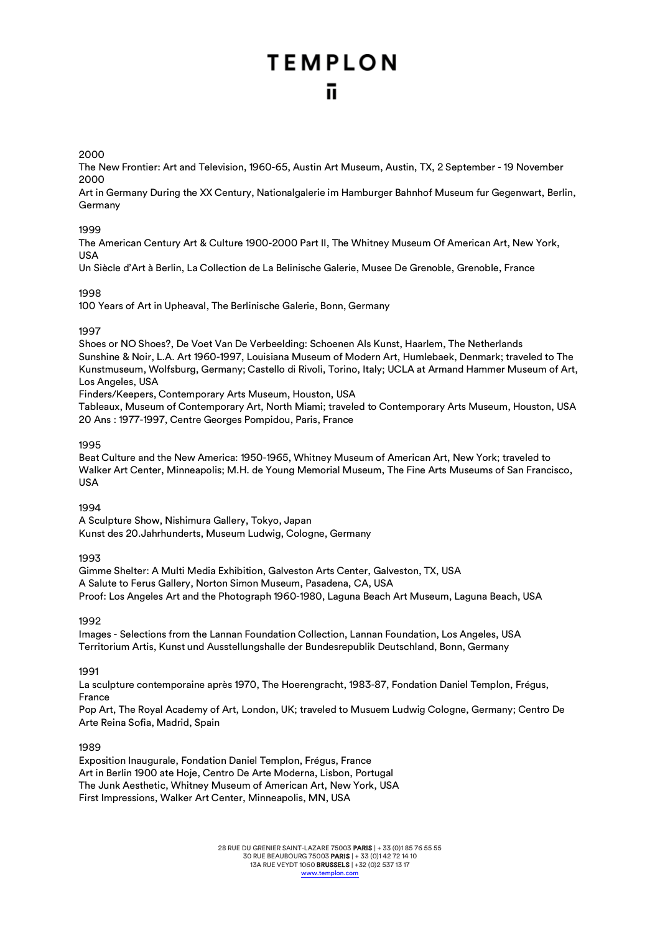#### 2000

The New Frontier: Art and Television, 1960-65, Austin Art Museum, Austin, TX, 2 September - 19 November 2000

Art in Germany During the XX Century, Nationalgalerie im Hamburger Bahnhof Museum fur Gegenwart, Berlin, Germany

#### 1999

The American Century Art & Culture 1900-2000 Part II, The Whitney Museum Of American Art, New York, USA

Un Siècle d'Art à Berlin, La Collection de La Belinische Galerie, Musee De Grenoble, Grenoble, France

## 1998

100 Years of Art in Upheaval, The Berlinische Galerie, Bonn, Germany

## 1997

Shoes or NO Shoes?, De Voet Van De Verbeelding: Schoenen Als Kunst, Haarlem, The Netherlands Sunshine & Noir, L.A. Art 1960-1997, Louisiana Museum of Modern Art, Humlebaek, Denmark; traveled to The Kunstmuseum, Wolfsburg, Germany; Castello di Rivoli, Torino, Italy; UCLA at Armand Hammer Museum of Art, Los Angeles, USA

Finders/Keepers, Contemporary Arts Museum, Houston, USA

Tableaux, Museum of Contemporary Art, North Miami; traveled to Contemporary Arts Museum, Houston, USA 20 Ans : 1977-1997, Centre Georges Pompidou, Paris, France

#### 1995

Beat Culture and the New America: 1950-1965, Whitney Museum of American Art, New York; traveled to Walker Art Center, Minneapolis; M.H. de Young Memorial Museum, The Fine Arts Museums of San Francisco, USA

## 1994

A Sculpture Show, Nishimura Gallery, Tokyo, Japan Kunst des 20.Jahrhunderts, Museum Ludwig, Cologne, Germany

## 1993

Gimme Shelter: A Multi Media Exhibition, Galveston Arts Center, Galveston, TX, USA A Salute to Ferus Gallery, Norton Simon Museum, Pasadena, CA, USA Proof: Los Angeles Art and the Photograph 1960-1980, Laguna Beach Art Museum, Laguna Beach, USA

1992

Images - Selections from the Lannan Foundation Collection, Lannan Foundation, Los Angeles, USA Territorium Artis, Kunst und Ausstellungshalle der Bundesrepublik Deutschland, Bonn, Germany

1991

La sculpture contemporaine après 1970, The Hoerengracht, 1983-87, Fondation Daniel Templon, Frégus, France

Pop Art, The Royal Academy of Art, London, UK; traveled to Musuem Ludwig Cologne, Germany; Centro De Arte Reina Sofia, Madrid, Spain

## 1989

Exposition Inaugurale, Fondation Daniel Templon, Frégus, France Art in Berlin 1900 ate Hoje, Centro De Arte Moderna, Lisbon, Portugal The Junk Aesthetic, Whitney Museum of American Art, New York, USA First Impressions, Walker Art Center, Minneapolis, MN, USA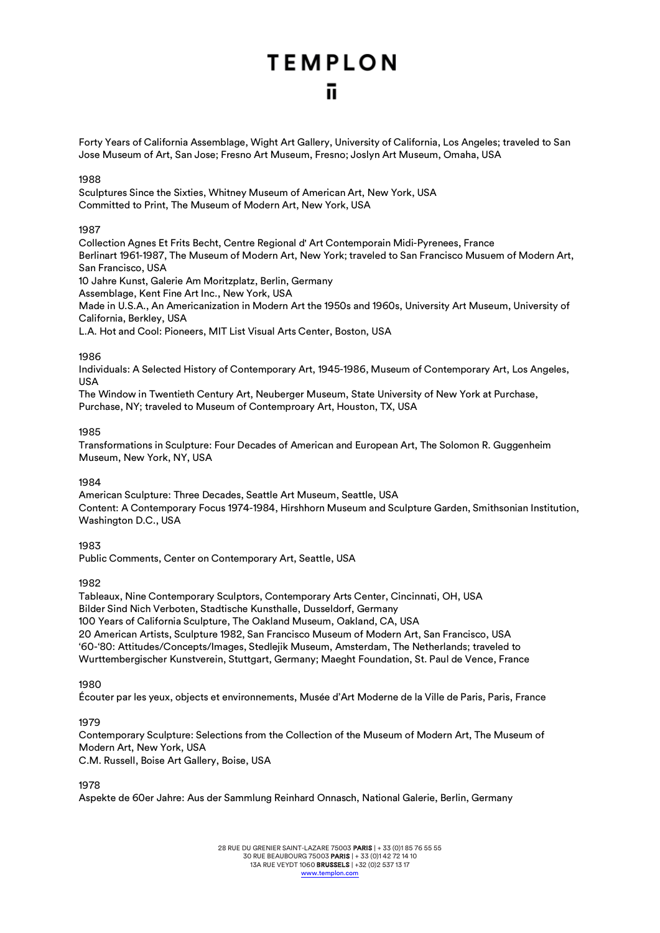Forty Years of California Assemblage, Wight Art Gallery, University of California, Los Angeles; traveled to San Jose Museum of Art, San Jose; Fresno Art Museum, Fresno; Joslyn Art Museum, Omaha, USA

## 1988

Sculptures Since the Sixties, Whitney Museum of American Art, New York, USA Committed to Print, The Museum of Modern Art, New York, USA

## 1987

Collection Agnes Et Frits Becht, Centre Regional d' Art Contemporain Midi-Pyrenees, France Berlinart 1961-1987, The Museum of Modern Art, New York; traveled to San Francisco Musuem of Modern Art, San Francisco, USA

10 Jahre Kunst, Galerie Am Moritzplatz, Berlin, Germany

Assemblage, Kent Fine Art Inc., New York, USA

Made in U.S.A., An Americanization in Modern Art the 1950s and 1960s, University Art Museum, University of California, Berkley, USA

L.A. Hot and Cool: Pioneers, MIT List Visual Arts Center, Boston, USA

#### 1986

Individuals: A Selected History of Contemporary Art, 1945-1986, Museum of Contemporary Art, Los Angeles, USA

The Window in Twentieth Century Art, Neuberger Museum, State University of New York at Purchase, Purchase, NY; traveled to Museum of Contemproary Art, Houston, TX, USA

#### 1985

Transformations in Sculpture: Four Decades of American and European Art, The Solomon R. Guggenheim Museum, New York, NY, USA

## 1984

American Sculpture: Three Decades, Seattle Art Museum, Seattle, USA Content: A Contemporary Focus 1974-1984, Hirshhorn Museum and Sculpture Garden, Smithsonian Institution, Washington D.C., USA

## 1983

Public Comments, Center on Contemporary Art, Seattle, USA

## 1982

Tableaux, Nine Contemporary Sculptors, Contemporary Arts Center, Cincinnati, OH, USA Bilder Sind Nich Verboten, Stadtische Kunsthalle, Dusseldorf, Germany 100 Years of California Sculpture, The Oakland Museum, Oakland, CA, USA 20 American Artists, Sculpture 1982, San Francisco Museum of Modern Art, San Francisco, USA '60-'80: Attitudes/Concepts/Images, Stedlejik Museum, Amsterdam, The Netherlands; traveled to Wurttembergischer Kunstverein, Stuttgart, Germany; Maeght Foundation, St. Paul de Vence, France

1980

Écouter par les yeux, objects et environnements, Musée d'Art Moderne de la Ville de Paris, Paris, France

## 1979

Contemporary Sculpture: Selections from the Collection of the Museum of Modern Art, The Museum of Modern Art, New York, USA

C.M. Russell, Boise Art Gallery, Boise, USA

1978

Aspekte de 60er Jahre: Aus der Sammlung Reinhard Onnasch, National Galerie, Berlin, Germany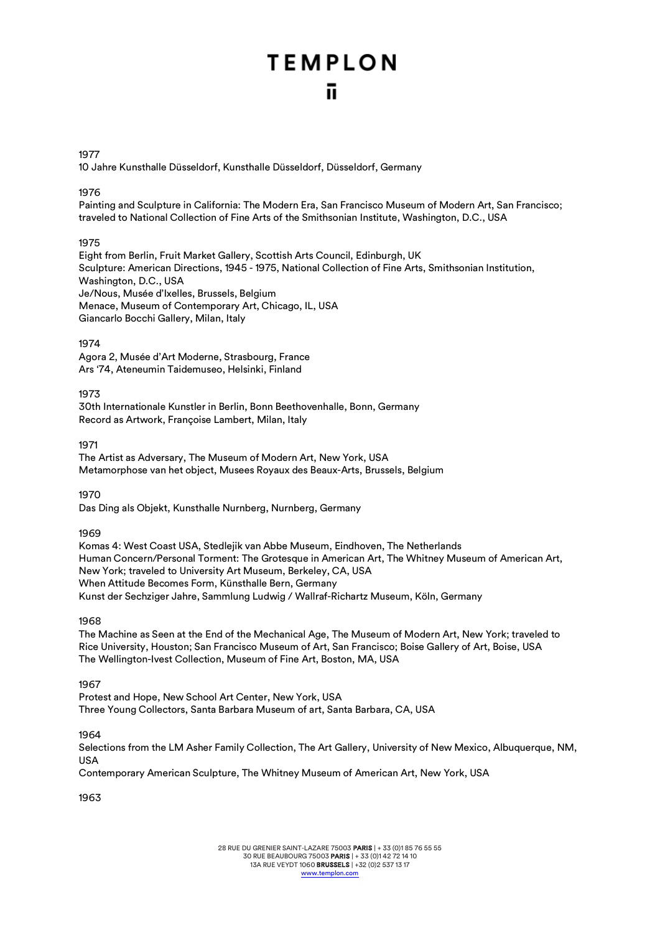#### 1977

10 Jahre Kunsthalle Düsseldorf, Kunsthalle Düsseldorf, Düsseldorf, Germany

#### 1976

Painting and Sculpture in California: The Modern Era, San Francisco Museum of Modern Art, San Francisco; traveled to National Collection of Fine Arts of the Smithsonian Institute, Washington, D.C., USA

## 1975

Eight from Berlin, Fruit Market Gallery, Scottish Arts Council, Edinburgh, UK Sculpture: American Directions, 1945 - 1975, National Collection of Fine Arts, Smithsonian Institution, Washington, D.C., USA Je/Nous, Musée d'Ixelles, Brussels, Belgium Menace, Museum of Contemporary Art, Chicago, IL, USA Giancarlo Bocchi Gallery, Milan, Italy

## 1974

Agora 2, Musée d'Art Moderne, Strasbourg, France Ars '74, Ateneumin Taidemuseo, Helsinki, Finland

## 1973

30th Internationale Kunstler in Berlin, Bonn Beethovenhalle, Bonn, Germany Record as Artwork, Françoise Lambert, Milan, Italy

## 1971

The Artist as Adversary, The Museum of Modern Art, New York, USA Metamorphose van het object, Musees Royaux des Beaux-Arts, Brussels, Belgium

## 1970

Das Ding als Objekt, Kunsthalle Nurnberg, Nurnberg, Germany

## 1969

Komas 4: West Coast USA, Stedlejik van Abbe Museum, Eindhoven, The Netherlands Human Concern/Personal Torment: The Grotesque in American Art, The Whitney Museum of American Art, New York; traveled to University Art Museum, Berkeley, CA, USA When Attitude Becomes Form, Künsthalle Bern, Germany Kunst der Sechziger Jahre, Sammlung Ludwig / Wallraf-Richartz Museum, Köln, Germany

## 1968

The Machine as Seen at the End of the Mechanical Age, The Museum of Modern Art, New York; traveled to Rice University, Houston; San Francisco Museum of Art, San Francisco; Boise Gallery of Art, Boise, USA The Wellington-Ivest Collection, Museum of Fine Art, Boston, MA, USA

## 1967

Protest and Hope, New School Art Center, New York, USA Three Young Collectors, Santa Barbara Museum of art, Santa Barbara, CA, USA

## 1964

Selections from the LM Asher Family Collection, The Art Gallery, University of New Mexico, Albuquerque, NM, USA

Contemporary American Sculpture, The Whitney Museum of American Art, New York, USA

1963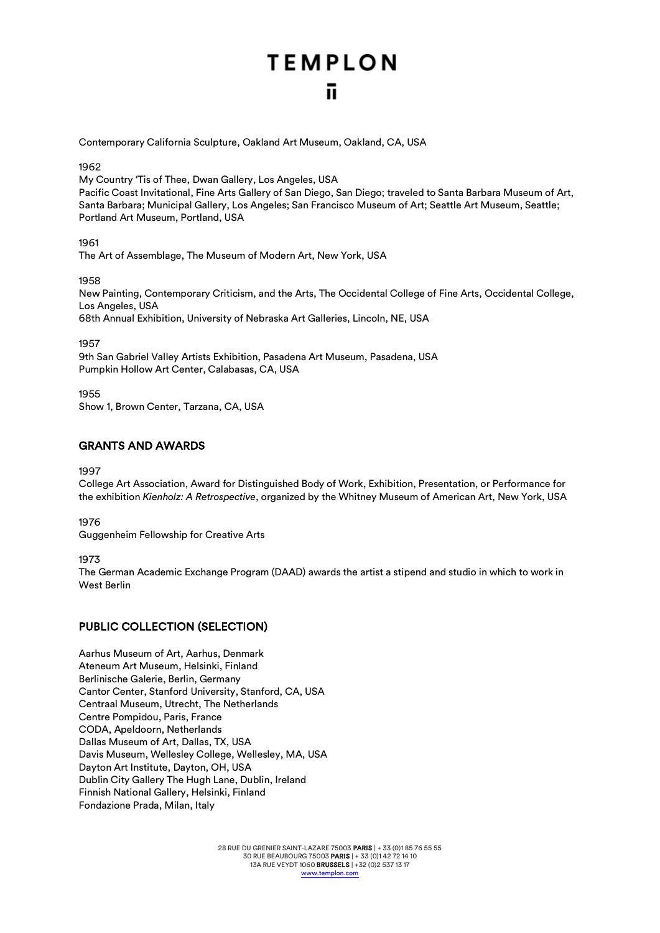Contemporary California Sculpture, Oakland Art Museum, Oakland, CA, USA

1962

My Country 'Tis of Thee, Dwan Gallery, Los Angeles, USA

Pacific Coast Invitational, Fine Arts Gallery of San Diego, San Diego; traveled to Santa Barbara Museum of Art, Santa Barbara; Municipal Gallery, Los Angeles; San Francisco Museum of Art; Seattle Art Museum, Seattle; Portland Art Museum, Portland, USA

1961

The Art of Assemblage, The Museum of Modern Art, New York, USA

1958

New Painting, Contemporary Criticism, and the Arts, The Occidental College of Fine Arts, Occidental College, Los Angeles, USA

68th Annual Exhibition, University of Nebraska Art Galleries, Lincoln, NE, USA

1957

9th San Gabriel Valley Artists Exhibition, Pasadena Art Museum, Pasadena, USA Pumpkin Hollow Art Center, Calabasas, CA, USA

1955

Show 1, Brown Center, Tarzana, CA, USA

## GRANTS AND AWARDS

1997

College Art Association, Award for Distinguished Body of Work, Exhibition, Presentation, or Performance for the exhibition *Kienholz: A Retrospective*, organized by the Whitney Museum of American Art, New York, USA

1976

Guggenheim Fellowship for Creative Arts

1973

The German Academic Exchange Program (DAAD) awards the artist a stipend and studio in which to work in West Berlin

## PUBLIC COLLECTION (SELECTION)

Aarhus Museum of Art, Aarhus, Denmark Ateneum Art Museum, Helsinki, Finland Berlinische Galerie, Berlin, Germany Cantor Center, Stanford University, Stanford, CA, USA Centraal Museum, Utrecht, The Netherlands Centre Pompidou, Paris, France CODA, Apeldoorn, Netherlands Dallas Museum of Art, Dallas, TX, USA Davis Museum, Wellesley College, Wellesley, MA, USA Dayton Art Institute, Dayton, OH, USA Dublin City Gallery The Hugh Lane, Dublin, Ireland Finnish National Gallery, Helsinki, Finland Fondazione Prada, Milan, Italy